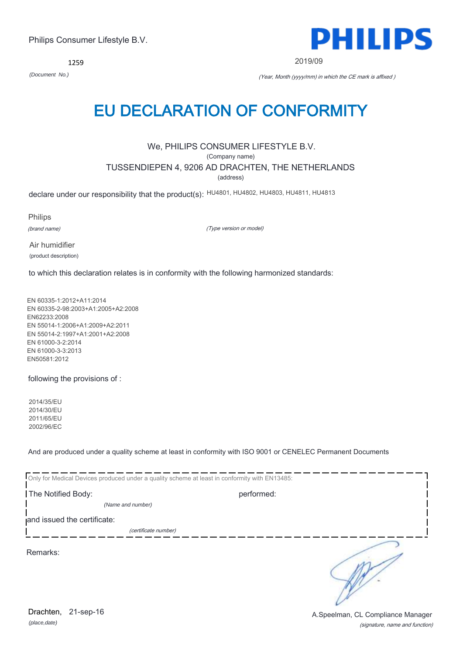*(place,date)* Drachten, 21-sep-16

(signature, name and function) A.Speelman, CL Compliance Manager

# Philips Consumer Lifestyle B.V.

1259

# EU DECLARATION OF CONFORMITY

# We, PHILIPS CONSUMER LIFESTYLE B.V.

(Company name)

# TUSSENDIEPEN 4, 9206 AD DRACHTEN, THE NETHERLANDS

(address)

declare under our responsibility that the product(s): HU4801, HU4802, HU4803, HU4811, HU4813

Philips

(brand name)

(Type version or model)

Air humidifier (product description)

to which this declaration relates is in conformity with the following harmonized standards:

EN 60335-1:2012+A11:2014 EN 60335-2-98:2003+A1:2005+A2:2008 EN62233:2008 EN 55014-1:2006+A1:2009+A2:2011 EN 55014-2:1997+A1:2001+A2:2008 EN 61000-3-2:2014 EN 61000-3-3:2013 EN50581:2012

following the provisions of :

2014/35/EU 2014/30/EU 2011/65/EU 2002/96/EC

And are produced under a quality scheme at least in conformity with ISO 9001 or CENELEC Permanent Documents

|                             | Only for Medical Devices produced under a quality scheme at least in conformity with EN13485: |  |
|-----------------------------|-----------------------------------------------------------------------------------------------|--|
| The Notified Body:          | performed:                                                                                    |  |
| (Name and number)           |                                                                                               |  |
| and issued the certificate: |                                                                                               |  |
|                             | (certificate number)                                                                          |  |
| Remarks:                    |                                                                                               |  |



2019/09

*(Document No.)* (Year, Month (yyyy/mm) in which the CE mark is affixed )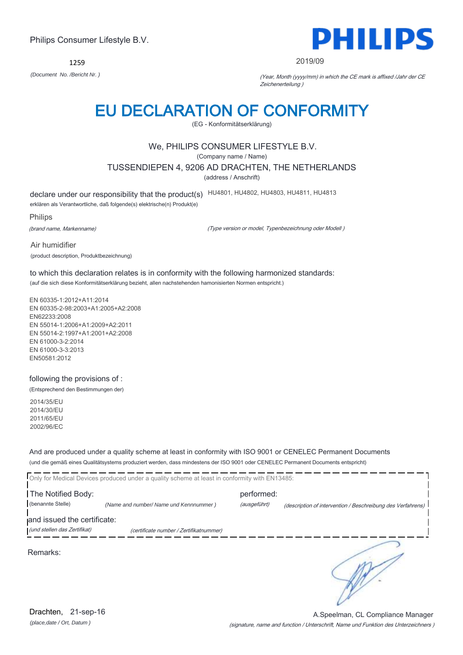1259



#### 2019/09

*(Document No. /Bericht Nr. )* (Year, Month (yyyy/mm) in which the CE mark is affixed /Jahr der CE Zeichenerteilung )

# EU DECLARATION OF CONFORMITY

(EG - Konformitätserklärung)

### We, PHILIPS CONSUMER LIFESTYLE B.V.

(Company name / Name)

TUSSENDIEPEN 4, 9206 AD DRACHTEN, THE NETHERLANDS

(address / Anschrift)

declare under our responsibility that the product(s) HU4801, HU4802, HU4803, HU4811, HU4813 erklären als Verantwortliche, daß folgende(s) elektrische(n) Produkt(e)

Philips

(brand name, Markenname)

(Type version or model, Typenbezeichnung oder Modell )

Air humidifier (product description, Produktbezeichnung)

to which this declaration relates is in conformity with the following harmonized standards: (auf die sich diese Konformitätserklärung bezieht, allen nachstehenden hamonisierten Normen entspricht.)

EN 60335-1:2012+A11:2014 EN 60335-2-98:2003+A1:2005+A2:2008 EN62233:2008 EN 55014-1:2006+A1:2009+A2:2011 EN 55014-2:1997+A1:2001+A2:2008 EN 61000-3-2:2014 EN 61000-3-3:2013 EN50581:2012

following the provisions of : (Entsprechend den Bestimmungen der)

2014/35/EU 2014/30/EU 2011/65/EU 2002/96/EC

And are produced under a quality scheme at least in conformity with ISO 9001 or CENELEC Permanent Documents (und die gemäß eines Qualitätsystems produziert werden, dass mindestens der ISO 9001 oder CENELEC Permanent Documents entspricht)

|                                                             | Only for Medical Devices produced under a quality scheme at least in conformity with EN13485: |                            |                                                             |
|-------------------------------------------------------------|-----------------------------------------------------------------------------------------------|----------------------------|-------------------------------------------------------------|
| The Notified Body:<br>(benannte Stelle)                     | (Name and number/ Name und Kennnummer)                                                        | performed:<br>(ausgeführt) | (description of intervention / Beschreibung des Verfahrens) |
| and issued the certificate:<br>(und stellen das Zertifikat) | (certificate number / Zertifikatnummer)                                                       |                            |                                                             |
| Remarks:                                                    |                                                                                               |                            |                                                             |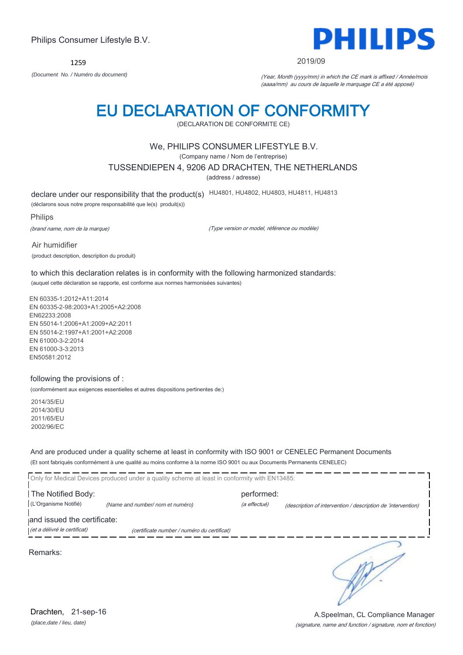(Company name / Nom de l'entreprise)

TUSSENDIEPEN 4, 9206 AD DRACHTEN, THE NETHERLANDS

We, PHILIPS CONSUMER LIFESTYLE B.V.

EU DECLARATION OF CONFORMITY (DECLARATION DE CONFORMITE CE)

(address / adresse)

declare under our responsibility that the product(s) HU4801, HU4802, HU4803, HU4811, HU4813

(déclarons sous notre propre responsabilité que le(s) produit(s))

Philips

(brand name, nom de la marque)

(Type version or model, référence ou modèle)

Air humidifier (product description, description du produit)

to which this declaration relates is in conformity with the following harmonized standards: (auquel cette déclaration se rapporte, est conforme aux normes harmonisées suivantes)

EN 60335-1:2012+A11:2014 EN 60335-2-98:2003+A1:2005+A2:2008 EN62233:2008 EN 55014-1:2006+A1:2009+A2:2011 EN 55014-2:1997+A1:2001+A2:2008 EN 61000-3-2:2014 EN 61000-3-3:2013 EN50581:2012

#### following the provisions of :

(conformément aux exigences essentielles et autres dispositions pertinentes de:)

2014/35/EU 2014/30/EU 2011/65/EU 2002/96/EC

And are produced under a quality scheme at least in conformity with ISO 9001 or CENELEC Permanent Documents (Et sont fabriqués conformément à une qualité au moins conforme à la norme ISO 9001 ou aux Documents Permanents CENELEC)

| (et a délivré le certificat) | (certificate number / numéro du certificat)                                                   |              |                                                              |
|------------------------------|-----------------------------------------------------------------------------------------------|--------------|--------------------------------------------------------------|
| and issued the certificate:  |                                                                                               |              |                                                              |
|                              |                                                                                               |              |                                                              |
| (L'Organisme Notifié)        | (Name and number/ nom et numéro)                                                              | (a effectué) | (description of intervention / description de 'intervention) |
| The Notified Body:           |                                                                                               | performed:   |                                                              |
|                              | Only for Medical Devices produced under a quality scheme at least in conformity with EN13485: |              |                                                              |

Remarks:

*(place,date / lieu, date)* Drachten, 21-sep-16

# Philips Consumer Lifestyle B.V.

1259

PHILIPS

#### 2019/09

*(Document No. / Numéro du document)* (Year, Month (yyyy/mm) in which the CE mark is affixed / Année/mois (aaaa/mm) au cours de laquelle le marquage CE a été apposé)

(signature, name and function / signature, nom et fonction) A.Speelman, CL Compliance Manager

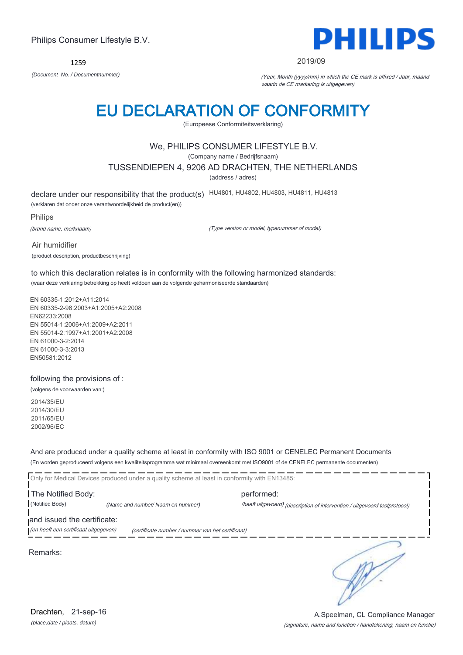1259 *(Document No. / Documentnummer)* (Year, Month (yyyy/mm) in which the CE mark is affixed / Jaar, maand

# EU DECLARATION OF CONFORMITY

(Europeese Conformiteitsverklaring)

# We, PHILIPS CONSUMER LIFESTYLE B.V.

(Company name / Bedrijfsnaam)

TUSSENDIEPEN 4, 9206 AD DRACHTEN, THE NETHERLANDS

(address / adres)

declare under our responsibility that the product(s) HU4801, HU4802, HU4803, HU4811, HU4813

(verklaren dat onder onze verantwoordelijkheid de product(en))

Philips

(brand name, merknaam)

(Type version or model, typenummer of model)

Air humidifier (product description, productbeschrijving)

to which this declaration relates is in conformity with the following harmonized standards: (waar deze verklaring betrekking op heeft voldoen aan de volgende geharmoniseerde standaarden)

EN 60335-1:2012+A11:2014 EN 60335-2-98:2003+A1:2005+A2:2008 EN62233:2008 EN 55014-1:2006+A1:2009+A2:2011 EN 55014-2:1997+A1:2001+A2:2008 EN 61000-3-2:2014 EN 61000-3-3:2013 EN50581:2012

following the provisions of :

(volgens de voorwaarden van:)

2014/35/EU 2014/30/EU 2011/65/EU 2002/96/EC

And are produced under a quality scheme at least in conformity with ISO 9001 or CENELEC Permanent Documents (En worden geproduceerd volgens een kwaliteitsprogramma wat minimaal overeenkomt met ISO9001 of de CENELEC permanente documenten)

Only for Medical Devices produced under a quality scheme at least in conformity with EN13485: The Notified Body: performed: (Notified Body) *(Name and number/ Naam en nummer)* (heeft uitgevoerd) (description of intervention / uitgevoerd testprotocol) and issued the certificate: (en heeft een certificaat uitgegeven) (certificate number / nummer van het certificaat)

Remarks:

(signature, name and function / handtekening, naam en functie) A.Speelman, CL Compliance Manager

∍



#### 2019/09

waarin de CE markering is uitgegeven)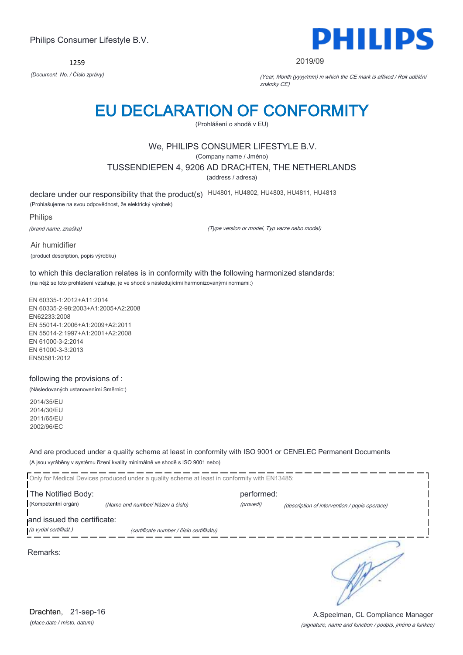1259



#### 2019/09

*(Document No. / Číslo zprávy)* (Year, Month (yyyy/mm) in which the CE mark is affixed / Rok udělění známky CE)

# EU DECLARATION OF CONFORMITY

(Prohlášení o shodě v EU)

# We, PHILIPS CONSUMER LIFESTYLE B.V.

(Company name / Jméno)

TUSSENDIEPEN 4, 9206 AD DRACHTEN, THE NETHERLANDS

(address / adresa)

declare under our responsibility that the product(s) HU4801, HU4802, HU4803, HU4811, HU4813 (Prohlašujeme na svou odpovědnost, že elektrický výrobek)

Philips

(brand name, značka)

(Type version or model, Typ verze nebo model)

Air humidifier (product description, popis výrobku)

to which this declaration relates is in conformity with the following harmonized standards: (na nějž se toto prohlášení vztahuje, je ve shodě s následujícími harmonizovanými normami:)

EN 60335-1:2012+A11:2014 EN 60335-2-98:2003+A1:2005+A2:2008 EN62233:2008 EN 55014-1:2006+A1:2009+A2:2011 EN 55014-2:1997+A1:2001+A2:2008 EN 61000-3-2:2014 EN 61000-3-3:2013 EN50581:2012

following the provisions of :

(Následovaných ustanoveními Směrnic:)

2014/35/EU 2014/30/EU 2011/65/EU 2002/96/EC

And are produced under a quality scheme at least in conformity with ISO 9001 or CENELEC Permanent Documents (A jsou vyráběny v systému řízení kvality minimálně ve shodě s ISO 9001 nebo)

Only for Medical Devices produced under a quality scheme at least in conformity with EN13485: **The Notified Body: performed:** performed: (Kompetentní orgán) *(Name and number/ Název a číslo)* (provedl) (description of intervention / popis operace) and issued the certificate: (a vydal certifikát,) (certificate number / číslo certifikátu) ∍ Remarks:

*(place,date / místo, datum)* Drachten, 21-sep-16

(signature, name and function / podpis, jméno a funkce) A.Speelman, CL Compliance Manager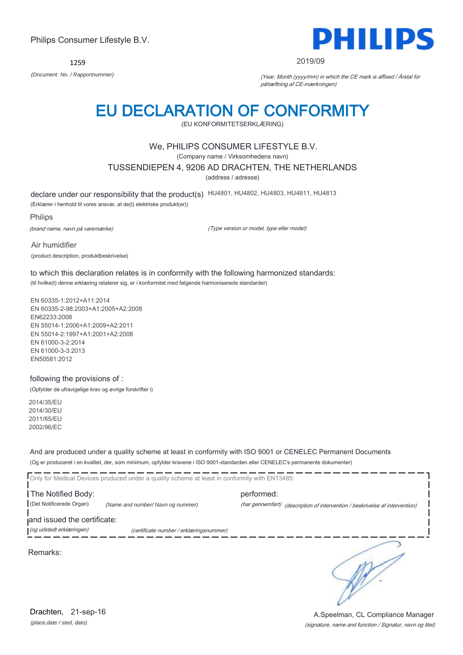1259



#### 2019/09

*(Document No. / Rapportnummer)* (Year, Month (yyyy/mm) in which the CE mark is affixed / Årstal for påhæftning af CE-mærkningen)

# EU DECLARATION OF CONFORMITY

(EU KONFORMITETSERKLÆRING)

### We, PHILIPS CONSUMER LIFESTYLE B.V.

(Company name / Virksomhedens navn)

TUSSENDIEPEN 4, 9206 AD DRACHTEN, THE NETHERLANDS

(address / adresse)

declare under our responsibility that the product(s) HU4801, HU4802, HU4803, HU4811, HU4813

(Erklærer i henhold til vores ansvar, at de(t) elektriske produkt(er))

Philips

(brand name, navn på varemærke)

(Type version or model, type eller model)

Air humidifier (product description, produktbeskrivelse)

to which this declaration relates is in conformity with the following harmonized standards: (til hvilke(t) denne erklæring relaterer sig, er i konformitet med følgende harmoniserede standarder)

EN 60335-1:2012+A11:2014 EN 60335-2-98:2003+A1:2005+A2:2008 EN62233:2008 EN 55014-1:2006+A1:2009+A2:2011 EN 55014-2:1997+A1:2001+A2:2008 EN 61000-3-2:2014 EN 61000-3-3:2013 EN50581:2012

### following the provisions of :

(Opfylder de ufravigelige krav og øvrige forskrifter i)

2014/35/EU 2014/30/EU 2011/65/EU 2002/96/EC

And are produced under a quality scheme at least in conformity with ISO 9001 or CENELEC Permanent Documents (Og er produceret i en kvalitet, der, som minimum, opfylder kravene i ISO 9001-standarden eller CENELEC's permanente dokumenter)

Only for Medical Devices produced under a quality scheme at least in conformity with EN13485:

**The Notified Body: performed:** performed: (Det Notificerede Organ) *(Name and number/ Navn og nummer)* (har gennemført) (description of intervention / beskrivelse af intervention) and issued the certificate:

(og udstedt erklæringen) (certificate number / erklæringsnummer)

Remarks:

*(place,date / sted, dato)* Drachten, 21-sep-16

### (signature, name and function / Signatur, navn og titel) A.Speelman, CL Compliance Manager

∍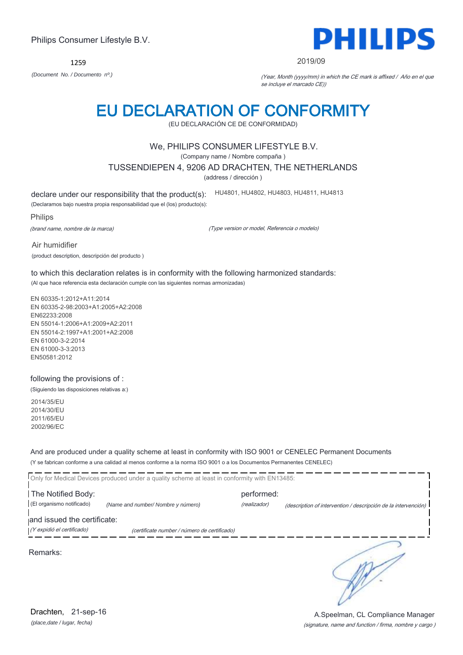1259 *(Document No. / Documento nº.)* (Year, Month (yyyy/mm) in which the CE mark is affixed / Año en el que

# EU DECLARATION OF CONFORMITY

(EU DECLARACIÓN CE DE CONFORMIDAD)

### We, PHILIPS CONSUMER LIFESTYLE B.V.

(Company name / Nombre compaña )

TUSSENDIEPEN 4, 9206 AD DRACHTEN, THE NETHERLANDS

(address / dirección )

declare under our responsibility that the product(s): HU4801, HU4802, HU4803, HU4811, HU4813

(Declaramos bajo nuestra propia responsabilidad que el (los) producto(s):

Philips

(brand name, nombre de la marca)

(Type version or model, Referencia o modelo)

Air humidifier (product description, descripción del producto )

to which this declaration relates is in conformity with the following harmonized standards: (Al que hace referencia esta declaración cumple con las siguientes normas armonizadas)

EN 60335-1:2012+A11:2014 EN 60335-2-98:2003+A1:2005+A2:2008 EN62233:2008 EN 55014-1:2006+A1:2009+A2:2011 EN 55014-2:1997+A1:2001+A2:2008 EN 61000-3-2:2014 EN 61000-3-3:2013 EN50581:2012

### following the provisions of :

(Siguiendo las disposiciones relativas a:)

2014/35/EU 2014/30/EU 2011/65/EU 2002/96/EC

And are produced under a quality scheme at least in conformity with ISO 9001 or CENELEC Permanent Documents (Y se fabrican conforme a una calidad al menos conforme a la norma ISO 9001 o a los Documentos Permanentes CENELEC)

|                             | Only for Medical Devices produced under a quality scheme at least in conformity with EN13485: |              |                                                                |
|-----------------------------|-----------------------------------------------------------------------------------------------|--------------|----------------------------------------------------------------|
| The Notified Body:          |                                                                                               | performed:   |                                                                |
| (El organismo notificado)   | (Name and number/ Nombre y número)                                                            | (realizador) | (description of intervention / descripción de la intervención) |
| and issued the certificate: |                                                                                               |              |                                                                |
| (Y expidió el certificado)  | (certificate number / número de certificado)                                                  |              |                                                                |
|                             |                                                                                               |              |                                                                |

Remarks:

(signature, name and function / firma, nombre y cargo ) A.Speelman, CL Compliance Manager



#### 2019/09

se incluye el marcado CE))

Philips Consumer Lifestyle B.V.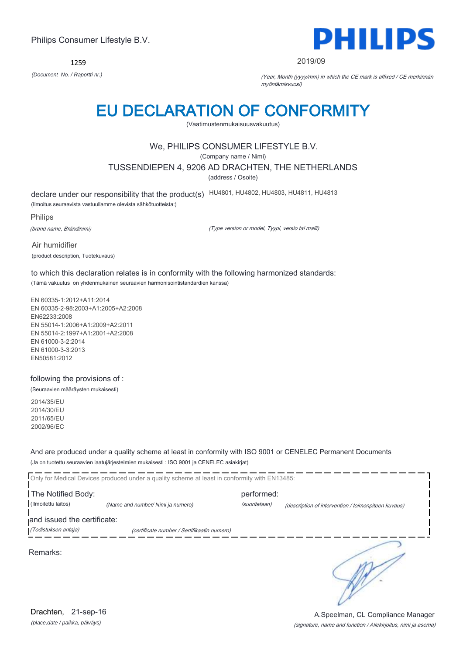1259



#### 2019/09

*(Document No. / Raportti nr.)* (Year, Month (yyyy/mm) in which the CE mark is affixed / CE merkinnän myöntämisvuosi)

# EU DECLARATION OF CONFORMITY

(Vaatimustenmukaisuusvakuutus)

# We, PHILIPS CONSUMER LIFESTYLE B.V.

(Company name / Nimi)

TUSSENDIEPEN 4, 9206 AD DRACHTEN, THE NETHERLANDS

(address / Osoite)

declare under our responsibility that the product(s) HU4801, HU4802, HU4803, HU4811, HU4813

(Ilmoitus seuraavista vastuullamme olevista sähkötuotteista:)

Philips

(brand name, Brändinimi)

(Type version or model, Tyypi, versio tai malli)

Air humidifier (product description, Tuotekuvaus)

to which this declaration relates is in conformity with the following harmonized standards: (Tämä vakuutus on yhdenmukainen seuraavien harmonisointistandardien kanssa)

EN 60335-1:2012+A11:2014 EN 60335-2-98:2003+A1:2005+A2:2008 EN62233:2008 EN 55014-1:2006+A1:2009+A2:2011 EN 55014-2:1997+A1:2001+A2:2008 EN 61000-3-2:2014 EN 61000-3-3:2013 EN50581:2012

following the provisions of :

(Seuraavien määräysten mukaisesti)

2014/35/EU 2014/30/EU 2011/65/EU 2002/96/EC

And are produced under a quality scheme at least in conformity with ISO 9001 or CENELEC Permanent Documents (Ja on tuotettu seuraavien laatujärjestelmien mukaisesti : ISO 9001 ja CENELEC asiakirjat)

|                             | Only for Medical Devices produced under a quality scheme at least in conformity with EN13485: |               |                                                     |
|-----------------------------|-----------------------------------------------------------------------------------------------|---------------|-----------------------------------------------------|
| The Notified Body:          |                                                                                               | performed:    |                                                     |
| (Ilmoitettu laitos)         | (Name and number/ Nimi ja numero)                                                             | (suoritetaan) | (description of intervention / toimenpiteen kuvaus) |
| and issued the certificate: |                                                                                               |               |                                                     |
| (Todistuksen antaja)        | (certificate number / Sertifikaatin numero)                                                   |               |                                                     |
| Remarks:                    |                                                                                               |               |                                                     |

*(place,date / paikka, päiväys)* Drachten, 21-sep-16

### (signature, name and function / Allekirjoitus, nimi ja asema) A.Speelman, CL Compliance Manager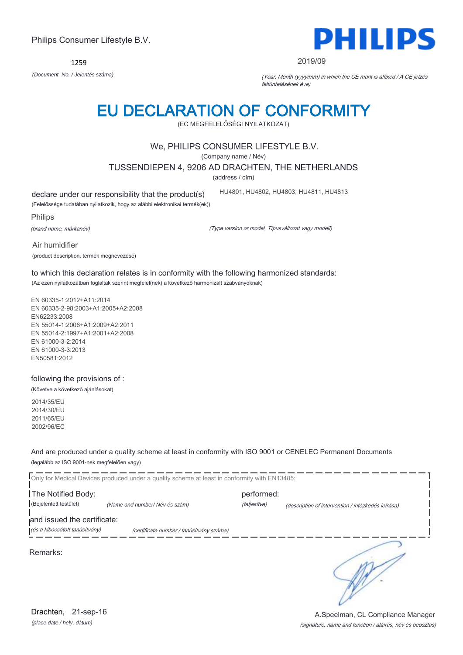1259 *(Document No. / Jelentés száma)* (Year, Month (yyyy/mm) in which the CE mark is affixed / A CE jelzés

# EU DECLARATION OF CONFORMITY

(EC MEGFELELŐSÉGI NYILATKOZAT)

### We, PHILIPS CONSUMER LIFESTYLE B.V.

(Company name / Név)

TUSSENDIEPEN 4, 9206 AD DRACHTEN, THE NETHERLANDS

(address / cím)

declare under our responsibility that the product(s)

(Felelőssége tudatában nyilatkozik, hogy az alábbi elektronikai termék(ek))

Philips

(brand name, márkanév)

Air humidifier

(Type version or model, Típusváltozat vagy modell)

HU4801, HU4802, HU4803, HU4811, HU4813

(product description, termék megnevezése)

to which this declaration relates is in conformity with the following harmonized standards: (Az ezen nyilatkozatban foglaltak szerint megfelel(nek) a következő harmonizált szabványoknak)

EN 60335-1:2012+A11:2014 EN 60335-2-98:2003+A1:2005+A2:2008 EN62233:2008 EN 55014-1:2006+A1:2009+A2:2011 EN 55014-2:1997+A1:2001+A2:2008 EN 61000-3-2:2014 EN 61000-3-3:2013 EN50581:2012

following the provisions of : (Követve a következő ajánlásokat)

2014/35/EU 2014/30/EU 2011/65/EU 2002/96/EC

And are produced under a quality scheme at least in conformity with ISO 9001 or CENELEC Permanent Documents (legalább az ISO 9001-nek megfelelően vagy)

Only for Medical Devices produced under a quality scheme at least in conformity with EN13485: **The Notified Body: performed:** performed: (Bejelentett testület) *(Name and number/ Név és szám)* (teljesítve) (description of intervention / intézkedés leírása) and issued the certificate: (és a kibocsátott tanúsítvány) (certificate number / tanúsítvány száma) ๖

Remarks:

(signature, name and function / aláírás, név és beosztás) A.Speelman, CL Compliance Manager



#### 2019/09

feltüntetésének éve)

Philips Consumer Lifestyle B.V.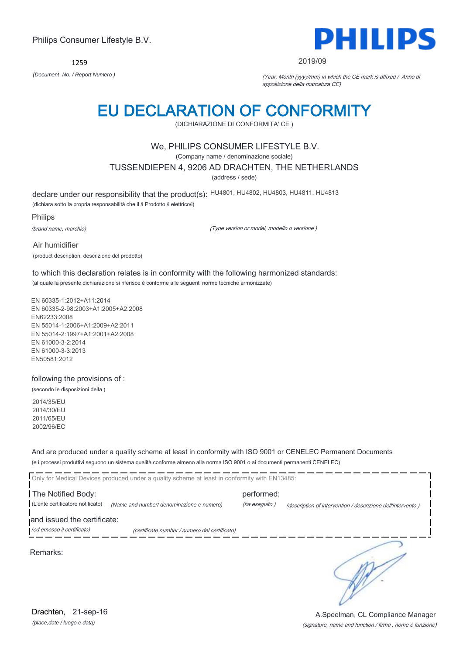1259



#### 2019/09

*(Document No. / Report Numero )* (Year, Month (yyyy/mm) in which the CE mark is affixed / Anno di apposizione della marcatura CE)

# EU DECLARATION OF CONFORMITY

(DICHIARAZIONE DI CONFORMITA' CE )

### We, PHILIPS CONSUMER LIFESTYLE B.V.

(Company name / denominazione sociale)

TUSSENDIEPEN 4, 9206 AD DRACHTEN, THE NETHERLANDS

(address / sede)

declare under our responsibility that the product(s): HU4801, HU4802, HU4803, HU4811, HU4813

(dichiara sotto la propria responsabilità che il /i Prodotto /i elettrico/i)

Philips

(brand name, marchio)

(Type version or model, modello o versione )

Air humidifier (product description, descrizione del prodotto)

to which this declaration relates is in conformity with the following harmonized standards: (al quale la presente dichiarazione si riferisce è conforme alle seguenti norme tecniche armonizzate)

EN 60335-1:2012+A11:2014 EN 60335-2-98:2003+A1:2005+A2:2008 EN62233:2008 EN 55014-1:2006+A1:2009+A2:2011 EN 55014-2:1997+A1:2001+A2:2008 EN 61000-3-2:2014 EN 61000-3-3:2013 EN50581:2012

following the provisions of :

(secondo le disposizioni della )

2014/35/EU 2014/30/EU 2011/65/EU 2002/96/EC

And are produced under a quality scheme at least in conformity with ISO 9001 or CENELEC Permanent Documents (e i processi produttivi seguono un sistema qualità conforme almeno alla norma ISO 9001 o ai documenti permanenti CENELEC)

|                                                           | Only for Medical Devices produced under a quality scheme at least in conformity with EN13485: |                             |                                                             |
|-----------------------------------------------------------|-----------------------------------------------------------------------------------------------|-----------------------------|-------------------------------------------------------------|
| The Notified Body:<br>(L'ente certificatore notificato)   | (Name and number/ denominazione e numero)                                                     | performed:<br>(ha eseguito) | (description of intervention / descrizione dell'intervento) |
| and issued the certificate:<br>(ed emesso il certificato) | (certificate number / numero del certificato)                                                 |                             |                                                             |
| Remarks:                                                  |                                                                                               |                             |                                                             |

*(place,date / luogo e data)* Drachten, 21-sep-16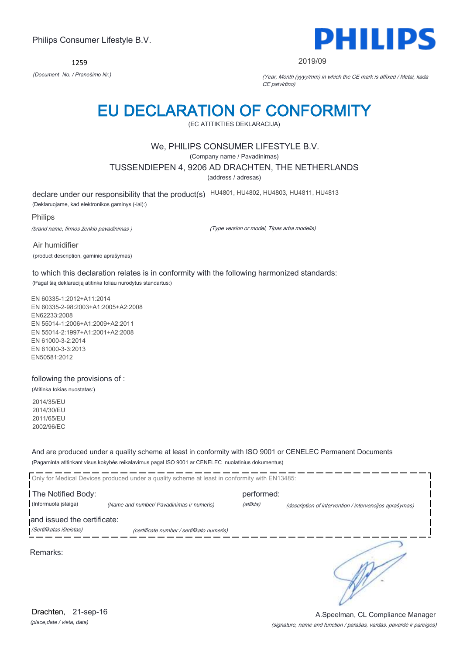1259



#### 2019/09

*(Document No. / Pranešimo Nr.)* (Year, Month (yyyy/mm) in which the CE mark is affixed / Metai, kada CE patvirtino)

# EU DECLARATION OF CONFORMITY

(EC ATITIKTIES DEKLARACIJA)

### We, PHILIPS CONSUMER LIFESTYLE B.V.

(Company name / Pavadinimas)

TUSSENDIEPEN 4, 9206 AD DRACHTEN, THE NETHERLANDS

(address / adresas)

declare under our responsibility that the product(s) HU4801, HU4802, HU4803, HU4811, HU4813

(Deklaruojame, kad elektronikos gaminys (-iai):)

Philips

(brand name, firmos ženklo pavadinimas )

(Type version or model, Tipas arba modelis)

Air humidifier (product description, gaminio aprašymas)

to which this declaration relates is in conformity with the following harmonized standards: (Pagal šią deklaraciją atitinka toliau nurodytus standartus:)

EN 60335-1:2012+A11:2014 EN 60335-2-98:2003+A1:2005+A2:2008 EN62233:2008 EN 55014-1:2006+A1:2009+A2:2011 EN 55014-2:1997+A1:2001+A2:2008 EN 61000-3-2:2014 EN 61000-3-3:2013 EN50581:2012

### following the provisions of :

(Atitinka tokias nuostatas:)

2014/35/EU 2014/30/EU 2011/65/EU 2002/96/EC

And are produced under a quality scheme at least in conformity with ISO 9001 or CENELEC Permanent Documents (Pagaminta atitinkant visus kokybės reikalavimus pagal ISO 9001 ar CENELEC nuolatinius dokumentus)

|                             | Only for Medical Devices produced under a quality scheme at least in conformity with EN13485: |            |                                                         |
|-----------------------------|-----------------------------------------------------------------------------------------------|------------|---------------------------------------------------------|
| The Notified Body:          |                                                                                               | performed: |                                                         |
| (Informuota istaiga)        | (Name and number/ Pavadinimas ir numeris)                                                     | (atlikta)  | (description of intervention / intervencijos aprašymas) |
| and issued the certificate: |                                                                                               |            |                                                         |
| (Sertifikatas išleistas)    | (certificate number / sertifikato numeris)                                                    |            |                                                         |
| Remarks:                    |                                                                                               |            |                                                         |

(signature, name and function / parašas, vardas, pavardė ir pareigos) A.Speelman, CL Compliance Manager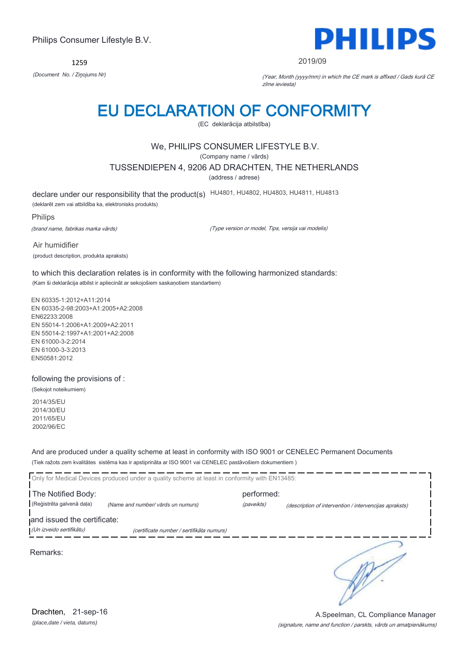1259



#### 2019/09

*(Document No. / Ziņojums Nr)* (Year, Month (yyyy/mm) in which the CE mark is affixed / Gads kurā CE zīme ieviesta)

# EU DECLARATION OF CONFORMITY

(EC deklarācija atbilstība)

### We, PHILIPS CONSUMER LIFESTYLE B.V.

(Company name / vārds)

TUSSENDIEPEN 4, 9206 AD DRACHTEN, THE NETHERLANDS

(address / adrese)

declare under our responsibility that the product(s) HU4801, HU4802, HU4803, HU4811, HU4813

(deklarēt zem vai atbildība ka, elektronisks produkts)

Philips

(brand name, fabrikas marka vārds)

(Type version or model, Tips, versija vai modelis)

Air humidifier (product description, produkta apraksts)

to which this declaration relates is in conformity with the following harmonized standards: (Kam ši deklarācija atbilst ir apliecināt ar sekojošiem saskaņotiem standartiem)

EN 60335-1:2012+A11:2014 EN 60335-2-98:2003+A1:2005+A2:2008 EN62233:2008 EN 55014-1:2006+A1:2009+A2:2011 EN 55014-2:1997+A1:2001+A2:2008 EN 61000-3-2:2014 EN 61000-3-3:2013 EN50581:2012

following the provisions of :

(Sekojot noteikumiem)

2014/35/EU 2014/30/EU 2011/65/EU 2002/96/EC

And are produced under a quality scheme at least in conformity with ISO 9001 or CENELEC Permanent Documents (Tiek ražots zem kvalitātes sistēma kas ir apstiprināta ar ISO 9001 vai CENELEC pastāvošiem dokumentiem )

|                             | Only for Medical Devices produced under a quality scheme at least in conformity with EN13485: |            |                                                        |
|-----------------------------|-----------------------------------------------------------------------------------------------|------------|--------------------------------------------------------|
| The Notified Body:          |                                                                                               | performed: |                                                        |
| (Reģistrēta galvenā daļa)   | (Name and number/ vārds un numurs)                                                            | (paveikts) | (description of intervention / intervencijas apraksts) |
| and issued the certificate: |                                                                                               |            |                                                        |
| (Un izveido sertifikātu)    | (certificate number / sertifikāta numurs)                                                     |            |                                                        |
| Remarks:                    |                                                                                               |            |                                                        |

(signature, name and function / parskts, vārds un amatpienākums) A.Speelman, CL Compliance Manager

*(place,date / vieta, datums)* Drachten, 21-sep-16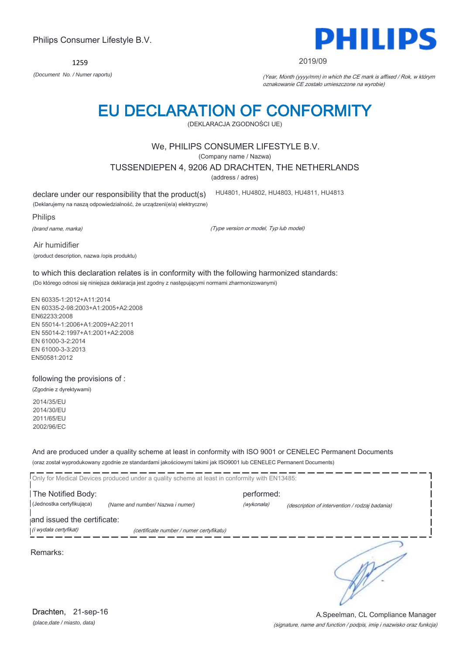*(place,date / miasto, data)* Drachten, 21-sep-16

# Philips Consumer Lifestyle B.V.

1259

# EU DECLARATION OF CONFORMITY

(DEKLARACJA ZGODNOŚCI UE)

# We, PHILIPS CONSUMER LIFESTYLE B.V.

(Company name / Nazwa)

TUSSENDIEPEN 4, 9206 AD DRACHTEN, THE NETHERLANDS

(address / adres)

declare under our responsibility that the product(s)

HU4801, HU4802, HU4803, HU4811, HU4813

(Deklarujemy na naszą odpowiedzialność, że urządzeni(e/a) elektryczne)

Philips

(brand name, marka)

(Type version or model, Typ lub model)

Air humidifier (product description, nazwa /opis produktu)

to which this declaration relates is in conformity with the following harmonized standards: (Do którego odnosi się niniejsza deklaracja jest zgodny z następującymi normami zharmonizowanymi)

EN 60335-1:2012+A11:2014 EN 60335-2-98:2003+A1:2005+A2:2008 EN62233:2008 EN 55014-1:2006+A1:2009+A2:2011 EN 55014-2:1997+A1:2001+A2:2008 EN 61000-3-2:2014 EN 61000-3-3:2013 EN50581:2012

following the provisions of :

(Zgodnie z dyrektywami)

2014/35/EU 2014/30/EU 2011/65/EU 2002/96/EC

And are produced under a quality scheme at least in conformity with ISO 9001 or CENELEC Permanent Documents (oraz został wyprodukowany zgodnie ze standardami jakościowymi takimi jak ISO9001 lub CENELEC Permanent Documents)

|                             | Only for Medical Devices produced under a quality scheme at least in conformity with EN13485: |            |                                                |
|-----------------------------|-----------------------------------------------------------------------------------------------|------------|------------------------------------------------|
| The Notified Body:          |                                                                                               | performed: |                                                |
| (Jednostka certyfikująca)   | (Name and number/ Nazwa i numer)                                                              | (wykonała) | (description of intervention / rodzaj badania) |
| and issued the certificate: |                                                                                               |            |                                                |
| (i wydała certyfikat)       | (certificate number / numer certyfikatu)                                                      |            |                                                |
| Remarks:                    |                                                                                               |            |                                                |

PS PHILII

#### 2019/09

*(Document No. / Numer raportu)* (Year, Month (yyyy/mm) in which the CE mark is affixed / Rok, w którym oznakowanie CE zostało umieszczone na wyrobie)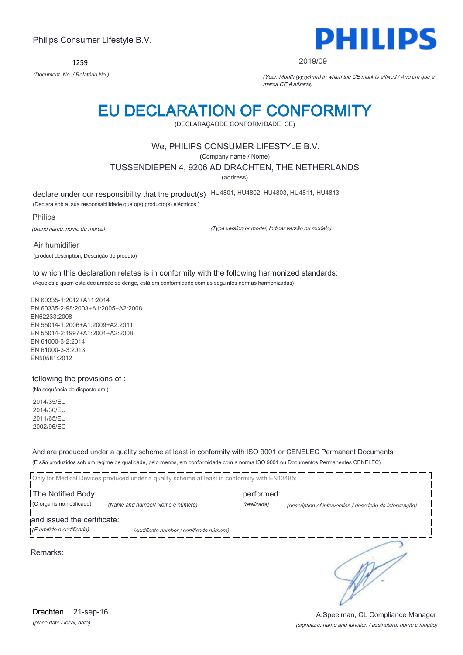1259

Philips Consumer Lifestyle B.V.



#### 2019/09

*(Document No. / Relatório No.)* (Year, Month (yyyy/mm) in which the CE mark is affixed / Ano em que a marca CE é afixada)

# EU DECLARATION OF CONFORMITY

(DECLARAÇÃODE CONFORMIDADE CE)

### We, PHILIPS CONSUMER LIFESTYLE B.V.

(Company name / Nome)

TUSSENDIEPEN 4, 9206 AD DRACHTEN, THE NETHERLANDS

(address)

declare under our responsibility that the product(s) HU4801, HU4802, HU4803, HU4811, HU4813

(Declara sob a sua responsabilidade que o(s) producto(s) eléctricos )

Philips

(brand name, nome da marca)

(Type version or model, Indicar versão ou modelo)

Air humidifier (product description, Descrição do produto)

to which this declaration relates is in conformity with the following harmonized standards: (Aqueles a quem esta declaração se derige, está em conformidade com as seguintes normas harmonizadas)

EN 60335-1:2012+A11:2014 EN 60335-2-98:2003+A1:2005+A2:2008 EN62233:2008 EN 55014-1:2006+A1:2009+A2:2011 EN 55014-2:1997+A1:2001+A2:2008 EN 61000-3-2:2014 EN 61000-3-3:2013 EN50581:2012

following the provisions of :

(Na sequência do disposto em:)

2014/35/EU 2014/30/EU 2011/65/EU 2002/96/EC

And are produced under a quality scheme at least in conformity with ISO 9001 or CENELEC Permanent Documents (E são produzidos sob um regime de qualidade, pelo menos, em conformidade com a norma ISO 9001 ou Documentos Permanentes CENELEC)

|                             | Only for Medical Devices produced under a quality scheme at least in conformity with EN13485: |             |                                                          |
|-----------------------------|-----------------------------------------------------------------------------------------------|-------------|----------------------------------------------------------|
| The Notified Body:          |                                                                                               | performed:  |                                                          |
| (O organismo notificado)    | (Name and number/ Nome e número)                                                              | (realizada) | (description of intervention / descrição da intervenção) |
| and issued the certificate: |                                                                                               |             |                                                          |
| (E emitido o certificado)   | (certificate number / certificado número)                                                     |             |                                                          |
| Remarks:                    |                                                                                               |             |                                                          |

(signature, name and function / assinatura, nome e função) A.Speelman, CL Compliance Manager

*(place,date / local, data)* Drachten, 21-sep-16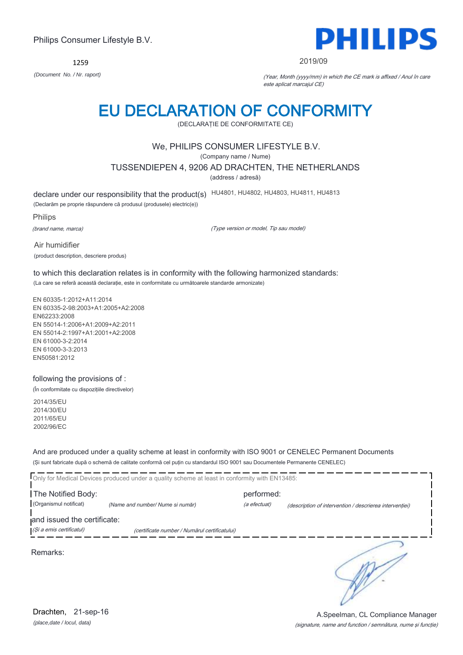1259



#### 2019/09

*(Document No. / Nr. raport)* (Year, Month (yyyy/mm) in which the CE mark is affixed / Anul în care este aplicat marcajul CE)

# EU DECLARATION OF CONFORMITY

(DECLARAŢIE DE CONFORMITATE CE)

### We, PHILIPS CONSUMER LIFESTYLE B.V.

(Company name / Nume)

TUSSENDIEPEN 4, 9206 AD DRACHTEN, THE NETHERLANDS

(address / adresă)

declare under our responsibility that the product(s) HU4801, HU4802, HU4803, HU4811, HU4813

(Declarăm pe proprie răspundere că produsul (produsele) electric(e))

Philips

(brand name, marca)

(Type version or model, Tip sau model)

Air humidifier (product description, descriere produs)

to which this declaration relates is in conformity with the following harmonized standards: (La care se referă această declaraţie, este in conformitate cu următoarele standarde armonizate)

EN 60335-1:2012+A11:2014 EN 60335-2-98:2003+A1:2005+A2:2008 EN62233:2008 EN 55014-1:2006+A1:2009+A2:2011 EN 55014-2:1997+A1:2001+A2:2008 EN 61000-3-2:2014 EN 61000-3-3:2013 EN50581:2012

### following the provisions of :

(În conformitate cu dispoziţiile directivelor)

2014/35/EU 2014/30/EU 2011/65/EU 2002/96/EC

And are produced under a quality scheme at least in conformity with ISO 9001 or CENELEC Permanent Documents (Şi sunt fabricate după o schemă de calitate conformă cel puţin cu standardul ISO 9001 sau Documentele Permanente CENELEC)

|                                                         | Only for Medical Devices produced under a quality scheme at least in conformity with EN13485: |                            |                                                         |
|---------------------------------------------------------|-----------------------------------------------------------------------------------------------|----------------------------|---------------------------------------------------------|
| The Notified Body:<br>(Organismul notificat)            | (Name and number/ Nume si număr)                                                              | performed:<br>(a efectuat) | (description of intervention / descrierea interventiei) |
| and issued the certificate:<br>(Și a emis certificatul) | (certificate number / Numărul certificatului)                                                 |                            |                                                         |
| Remarks:                                                |                                                                                               |                            |                                                         |

*(place,date / locul, data)* Drachten, 21-sep-16

### (signature, name and function / semnătura, nume şi funcţie) A.Speelman, CL Compliance Manager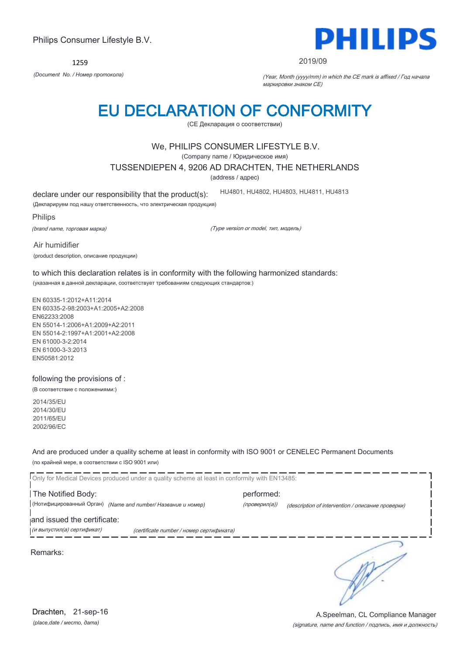1259



#### 2019/09

*(Document No. / Номер протокола)* (Year, Month (yyyy/mm) in which the CE mark is affixed / Год начала маркировки знаком CE)

# EU DECLARATION OF CONFORMITY

(CE Декларация о соответствии)

### We, PHILIPS CONSUMER LIFESTYLE B.V.

(Company name / Юридическое имя)

TUSSENDIEPEN 4, 9206 AD DRACHTEN, THE NETHERLANDS

(address / адрес)

declare under our responsibility that the product(s):

(Декларируем под нашу ответственность, что электрическая продукция)

Philips

(brand name, торговая марка)

(Type version or model, тип, модель)

HU4801, HU4802, HU4803, HU4811, HU4813

Air humidifier (product description, описание продукции)

to which this declaration relates is in conformity with the following harmonized standards: (указанная в данной декларации, соответствует требованиям следующих стандартов:)

EN 60335-1:2012+A11:2014 EN 60335-2-98:2003+A1:2005+A2:2008 EN62233:2008 EN 55014-1:2006+A1:2009+A2:2011 EN 55014-2:1997+A1:2001+A2:2008 EN 61000-3-2:2014 EN 61000-3-3:2013 EN50581:2012

following the provisions of :

(В соответствие с положениями:)

2014/35/EU 2014/30/EU 2011/65/EU 2002/96/EC

And are produced under a quality scheme at least in conformity with ISO 9001 or CENELEC Permanent Documents (по крайней мере, в соответствии с ISO 9001 или)

Only for Medical Devices produced under a quality scheme at least in conformity with EN13485: The Notified Body: example and the Notified Body: (Нотифицированный Орган) *(Name and number/ Название и номер)* (проверил(а)) (description of intervention / описание проверки) and issued the certificate: (и выпустил(а) сертификат) (certificate number / номер сертификата) ₹ Remarks:

*(place,date / место, дата)* Drachten, 21-sep-16

### (signature, name and function / подпись, имя и должность) A.Speelman, CL Compliance Manager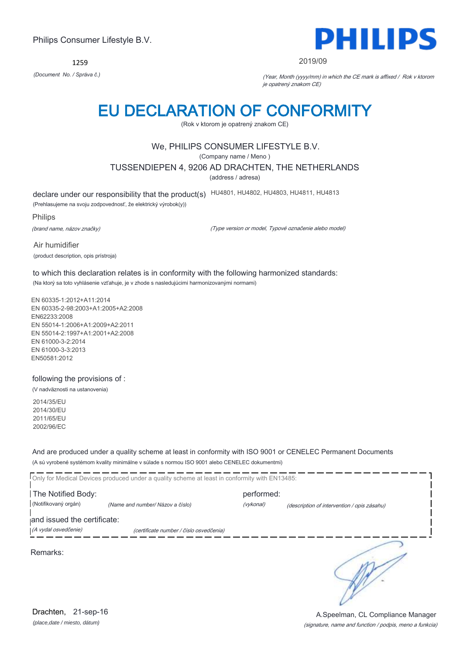1259



#### 2019/09

*(Document No. / Správa č.)* (Year, Month (yyyy/mm) in which the CE mark is affixed / Rok v ktorom je opatrený znakom CE)

# EU DECLARATION OF CONFORMITY

(Rok v ktorom je opatrený znakom CE)

### We, PHILIPS CONSUMER LIFESTYLE B.V.

(Company name / Meno )

TUSSENDIEPEN 4, 9206 AD DRACHTEN, THE NETHERLANDS

(address / adresa)

declare under our responsibility that the product(s) HU4801, HU4802, HU4803, HU4811, HU4813

(Prehlasujeme na svoju zodpovednosť, že elektrický výrobok(y))

Philips

(brand name, názov značky)

(Type version or model, Typové označenie alebo model)

Air humidifier (product description, opis prístroja)

to which this declaration relates is in conformity with the following harmonized standards: (Na ktorý sa toto vyhlásenie vzťahuje, je v zhode s nasledujúcimi harmonizovanými normami)

EN 60335-1:2012+A11:2014 EN 60335-2-98:2003+A1:2005+A2:2008 EN62233:2008 EN 55014-1:2006+A1:2009+A2:2011 EN 55014-2:1997+A1:2001+A2:2008 EN 61000-3-2:2014 EN 61000-3-3:2013 EN50581:2012

following the provisions of :

(V nadväznosti na ustanovenia)

2014/35/EU 2014/30/EU 2011/65/EU 2002/96/EC

And are produced under a quality scheme at least in conformity with ISO 9001 or CENELEC Permanent Documents (A sú vyrobené systémom kvality minimálne v súlade s normou ISO 9001 alebo CENELEC dokumentmi)

Only for Medical Devices produced under a quality scheme at least in conformity with EN13485: The Notified Body: example and the Notified Body: (Notifikovaný orgán) *(Name and number/ Názov a číslo)* (vykonal) (description of intervention / opis zásahu) and issued the certificate: (A vydal osvedčenie) (certificate number / číslo osvedčenia) ₹ Remarks:

(signature, name and function / podpis, meno a funkcia) A.Speelman, CL Compliance Manager

*(place,date / miesto, dátum)* Drachten, 21-sep-16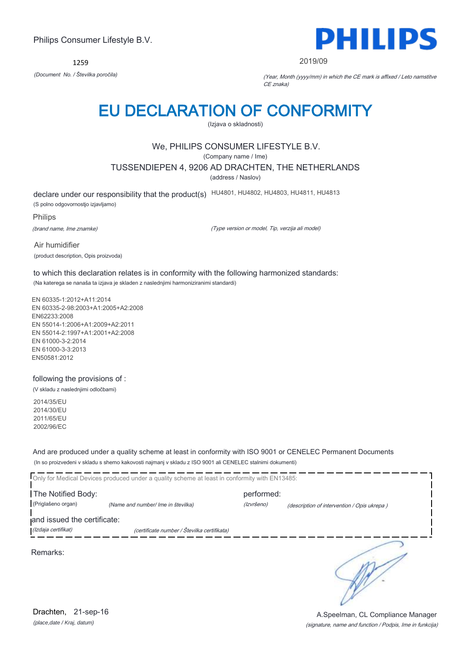1259



#### 2019/09

*(Document No. / Številka poročila)* (Year, Month (yyyy/mm) in which the CE mark is affixed / Leto namstitve CE znaka)

# EU DECLARATION OF CONFORMITY

(Izjava o skladnosti)

### We, PHILIPS CONSUMER LIFESTYLE B.V.

(Company name / Ime)

TUSSENDIEPEN 4, 9206 AD DRACHTEN, THE NETHERLANDS

(address / Naslov)

declare under our responsibility that the product(s) HU4801, HU4802, HU4803, HU4811, HU4813 (S polno odgovornostjo izjavljamo)

Philips (brand name, Ime znamke)

(Type version or model, Tip, verzija ali model)

Air humidifier (product description, Opis proizvoda)

to which this declaration relates is in conformity with the following harmonized standards: (Na katerega se nanaša ta izjava je skladen z naslednjimi harmoniziranimi standardi)

EN 60335-1:2012+A11:2014 EN 60335-2-98:2003+A1:2005+A2:2008 EN62233:2008 EN 55014-1:2006+A1:2009+A2:2011 EN 55014-2:1997+A1:2001+A2:2008 EN 61000-3-2:2014 EN 61000-3-3:2013 EN50581:2012

following the provisions of :

(V skladu z naslednjimi odločbami)

2014/35/EU 2014/30/EU 2011/65/EU 2002/96/EC

And are produced under a quality scheme at least in conformity with ISO 9001 or CENELEC Permanent Documents (In so proizvedeni v skladu s shemo kakovosti najmanj v skladu z ISO 9001 ali CENELEC stalnimi dokumenti)

|                             | Only for Medical Devices produced under a quality scheme at least in conformity with EN13485: |            |                                             |
|-----------------------------|-----------------------------------------------------------------------------------------------|------------|---------------------------------------------|
| The Notified Body:          |                                                                                               | performed: |                                             |
| (Priglašeno organ)          | (Name and number/ Ime in številka)                                                            | (Izvršeno) | (description of intervention / Opis ukrepa) |
| and issued the certificate: |                                                                                               |            |                                             |
| (Izdaja certifikat)         | (certificate number / Številka certifikata)                                                   |            |                                             |
| Remarks:                    |                                                                                               |            |                                             |

*(place,date / Kraj, datum)* Drachten, 21-sep-16

(signature, name and function / Podpis, Ime in funkcija) A.Speelman, CL Compliance Manager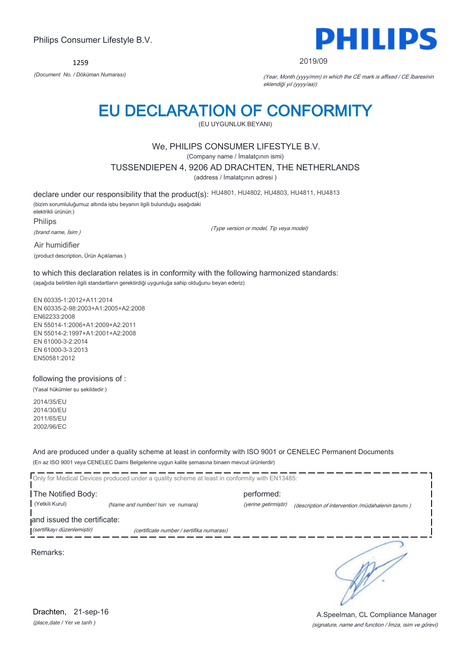1259



#### 2019/09

*(Document No. / Döküman Numarası)* (Year, Month (yyyy/mm) in which the CE mark is affixed / CE İbaresinin eklendiği yıl (yyyy/aa))

# EU DECLARATION OF CONFORMITY

(EU UYGUNLUK BEYANI)

### We, PHILIPS CONSUMER LIFESTYLE B.V.

(Company name / İmalatçının ismi)

TUSSENDIEPEN 4, 9206 AD DRACHTEN, THE NETHERLANDS

(address / İmalatçının adresi )

declare under our responsibility that the product(s): HU4801, HU4802, HU4803, HU4811, HU4813 (bizim sorumluluğumuz altında işbu beyanın ilgili bulunduğu aşağıdaki elektrikli ürünün:) Philips

(brand name, İsim )

(Type version or model, Tip veya model)

Air humidifier (product description, Ürün Açıklamas )

to which this declaration relates is in conformity with the following harmonized standards: (aşağıda belirtilen ilgili standartların gerektirdiği uygunluğa sahip olduğunu beyan ederiz)

EN 60335-1:2012+A11:2014 EN 60335-2-98:2003+A1:2005+A2:2008 EN62233:2008 EN 55014-1:2006+A1:2009+A2:2011 EN 55014-2:1997+A1:2001+A2:2008 EN 61000-3-2:2014 EN 61000-3-3:2013 EN50581:2012

following the provisions of :

(Yasal hükümler şu şekildedir:)

2014/35/EU 2014/30/EU 2011/65/EU 2002/96/EC

And are produced under a quality scheme at least in conformity with ISO 9001 or CENELEC Permanent Documents (En az ISO 9001 veya CENELEC Daimi Belgelerine uygun kalite şemasına binaen mevcut ürünlerdir)

Only for Medical Devices produced under a quality scheme at least in conformity with EN13485: **The Notified Body: performed:** performed: (Yetkili Kurul) *(Name and number/ Isin ve numara)* (yerine getirmiştir) (description of intervention /müdahalenin tanımı ) and issued the certificate: (sertifikayı düzenlemiştir) (certificate number / sertifika numarası) ∍

Remarks:

*(place,date / Yer ve tarih )* Drachten, 21-sep-16

(signature, name and function / İmza, isim ve görevi) A.Speelman, CL Compliance Manager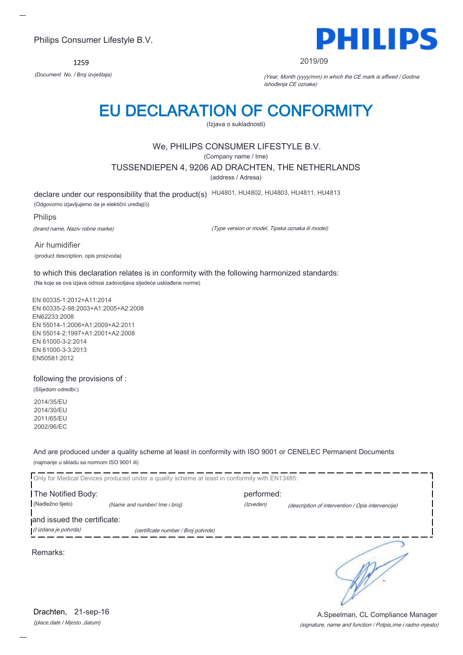1259



#### 2019/09

*(Document No. / Broj izvještaja)* (Year, Month (yyyy/mm) in which the CE mark is affixed / Godina ishođenja CE oznake)

# EU DECLARATION OF CONFORMITY

(Izjava o sukladnosti)

# We, PHILIPS CONSUMER LIFESTYLE B.V.

(Company name / Ime)

TUSSENDIEPEN 4, 9206 AD DRACHTEN, THE NETHERLANDS

(address / Adresa)

declare under our responsibility that the product(s) HU4801, HU4802, HU4803, HU4811, HU4813

(Odgovorno izjavljujemo da je elektični uređaj(i))

#### Philips

(brand name, Naziv robne marke)

(Type version or model, Tipska oznaka ili model)

Air humidifier (product description, opis proizvoda)

to which this declaration relates is in conformity with the following harmonized standards: (Na koje se ova izjava odnosi zadovoljava sljedeće usklađene norme)

EN 60335-1:2012+A11:2014 EN 60335-2-98:2003+A1:2005+A2:2008 EN62233:2008 EN 55014-1:2006+A1:2009+A2:2011 EN 55014-2:1997+A1:2001+A2:2008 EN 61000-3-2:2014 EN 61000-3-3:2013 EN50581:2012

following the provisions of :

(Slijedom odredbi:)

2014/35/EU 2014/30/EU 2011/65/EU 2002/96/EC

And are produced under a quality scheme at least in conformity with ISO 9001 or CENELEC Permanent Documents (najmanje u skladu sa normom ISO 9001 ili)

Only for Medical Devices produced under a quality scheme at least in conformity with EN13485: **The Notified Body: performed:** performed: (Nadležno tijelo) *(Name and number/ Ime i broj) (Izveden) (Izveden) (description of intervention / Opis intervencije*) and issued the certificate: (I izdana je potvrda) (certificate number / Broj potvrde)

Remarks:

*(place,date / Mjesto ,datum)* Drachten, 21-sep-16

(signature, name and function / Potpis,ime i radno mjesto) A.Speelman, CL Compliance Manager

∍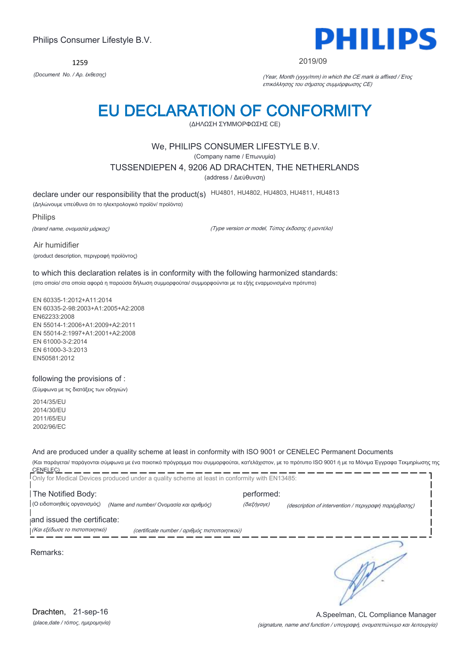1259



#### 2019/09

*(Document No. / Αρ. έκθεσης)* (Year, Month (yyyy/mm) in which the CE mark is affixed / Έτος επικόλλησης του σήματος συμμόρφωσης CE)

# EU DECLARATION OF CONFORMITY

(ΔΗΛΩΣΗ ΣΥΜΜΟΡΦΩΣΗΣ CE)

### We, PHILIPS CONSUMER LIFESTYLE B.V.

(Company name / Επωνυμία)

TUSSENDIEPEN 4, 9206 AD DRACHTEN, THE NETHERLANDS

(address / Διεύθυνση)

declare under our responsibility that the product(s) HU4801, HU4802, HU4803, HU4811, HU4813

(Δηλώνουμε υπεύθυνα ότι το ηλεκτρολογικό προϊόν/ προϊόντα)

Philips

(brand name, ονομασία μάρκας)

(Type version or model, Τύπος έκδοσης ή μοντέλο)

Air humidifier (product description, περιγραφή προϊόντος)

to which this declaration relates is in conformity with the following harmonized standards: (στο οποίο/ στα οποία αφορά η παρούσα δήλωση συμμορφούται/ συμμορφούνται με τα εξής εναρμονισμένα πρότυπα)

EN 60335-1:2012+A11:2014 EN 60335-2-98:2003+A1:2005+A2:2008 EN62233:2008 EN 55014-1:2006+A1:2009+A2:2011 EN 55014-2:1997+A1:2001+A2:2008 EN 61000-3-2:2014 EN 61000-3-3:2013 EN50581:2012

following the provisions of :

(Σύμφωνα με τις διατάξεις των οδηγιών)

2014/35/EU 2014/30/EU 2011/65/EU 2002/96/EC

# And are produced under a quality scheme at least in conformity with ISO 9001 or CENELEC Permanent Documents

(Και παράγεται/ παράγονται σύμφωνα με ένα ποιοτικό πρόγραμμα που συμμορφούται, κατ'ελάχιστον, με το πρότυπο ISO 9001 ή με τα Μόνιμα Έγγραφα Τεκμηρίωσης της CENELEC) \_\_\_\_\_\_\_\_\_\_\_\_\_

| Only for Medical Devices produced under a quality scheme at least in conformity with EN13485: |             |                                                      |  |
|-----------------------------------------------------------------------------------------------|-------------|------------------------------------------------------|--|
| The Notified Body:<br>performed:                                                              |             |                                                      |  |
| (Ο ειδοποιηθείς οργανισμός)<br>(Name and number/ Ονομασία και αριθμός)                        | (διεξήγαγε) | (description of intervention / περιγραφή παρέμβασης) |  |
| and issued the certificate:                                                                   |             |                                                      |  |
| (Και εξέδωσε το πιστοποιητικό)<br>(certificate number / αριθμός πιστοποιητικού)               |             |                                                      |  |
| Remarks:                                                                                      |             |                                                      |  |